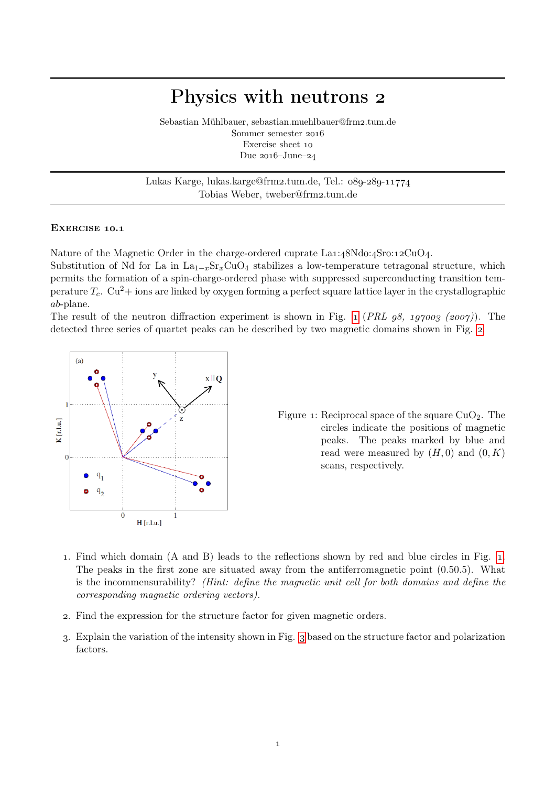## Physics with neutrons

Sebastian Mühlbauer, sebastian.muehlbauer@frm2.tum.de Sommer semester Exercise sheet Due  $2016$ -June– $24$ 

Lukas Karge, lukas.karge@frm2.tum.de, Tel.: 089-289-11774 Tobias Weber, tweber@frm2.tum.de

## EXERCISE 10.1

Nature of the Magnetic Order in the charge-ordered cuprate  $La1:48Ndo:4Sro:12CuO<sub>4</sub>$ .

Substitution of Nd for La in  $La_{1-x}Sr_xCuO_4$  stabilizes a low-temperature tetragonal structure, which permits the formation of a spin-charge-ordered phase with suppressed superconducting transition temperature  $T_c$ . Cu<sup>2</sup>+ ions are linked by oxygen forming a perfect square lattice layer in the crystallographic ab-plane.

The result of the neutron diffraction experiment is shown in Fig. 1 (PRL  $q8$ , 197009 (2007)). The detected three series of quartet peaks can be described by two magnetic domains shown in Fig[.](#page-1-0) 2.

<span id="page-0-0"></span>

Figure 1: Reciprocal space of the square  $CuO<sub>2</sub>$ . The circles indicate the positions of magnetic peaks. The peaks marked by blue and read were measured by  $(H, 0)$  and  $(0, K)$ scans, respectively.

- . Find which domain (A and B) leads to the reflections shown by red and blue circles in Fig. [.](#page-0-0) The peaks in the first zone are situated away from the antiferromagnetic point (0.50.5). What is the incommensurability? (Hint: define the magnetic unit cell for both domains and define the corresponding magnetic ordering vectors).
- . Find the expression for the structure factor for given magnetic orders.
- . Explain the variation of the intensity shown in Fig. based on the structure factor and polarization factors.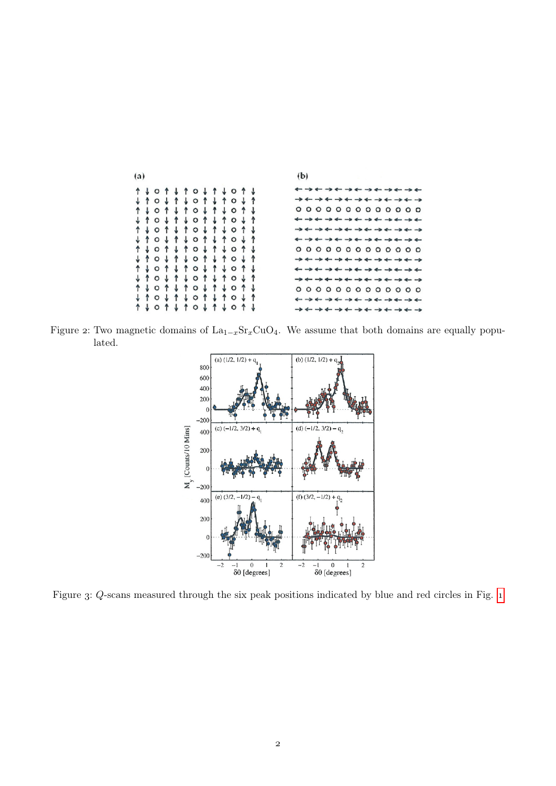<span id="page-1-0"></span>

Figure 2: Two magnetic domains of  $La_{1-x}Sr_xCuO_4$ . We assume that both domains are equally populated.



Figure 3: Q-scans measured through the six peak positions indicated by blue and red circles in Fig. 1